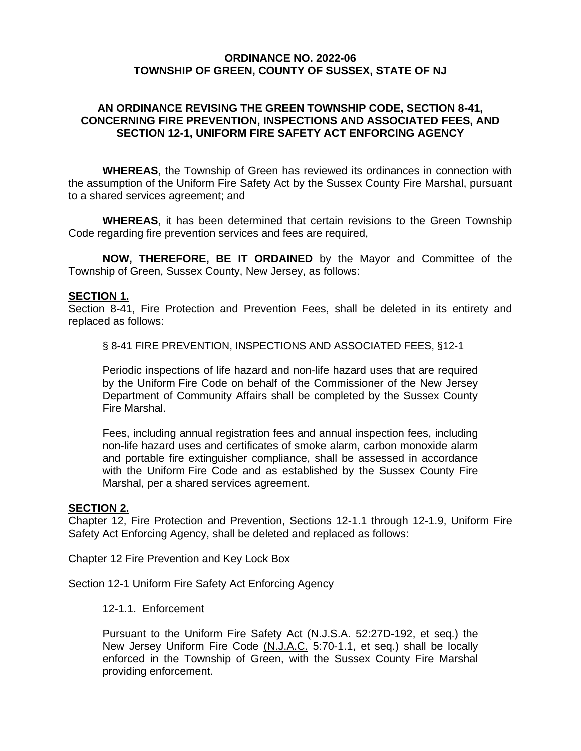### **ORDINANCE NO. 2022-06 TOWNSHIP OF GREEN, COUNTY OF SUSSEX, STATE OF NJ**

# **AN ORDINANCE REVISING THE GREEN TOWNSHIP CODE, SECTION 8-41, CONCERNING FIRE PREVENTION, INSPECTIONS AND ASSOCIATED FEES, AND SECTION 12-1, UNIFORM FIRE SAFETY ACT ENFORCING AGENCY**

**WHEREAS**, the Township of Green has reviewed its ordinances in connection with the assumption of the Uniform Fire Safety Act by the Sussex County Fire Marshal, pursuant to a shared services agreement; and

**WHEREAS**, it has been determined that certain revisions to the Green Township Code regarding fire prevention services and fees are required,

**NOW, THEREFORE, BE IT ORDAINED** by the Mayor and Committee of the Township of Green, Sussex County, New Jersey, as follows:

### **SECTION 1.**

Section 8-41, Fire Protection and Prevention Fees, shall be deleted in its entirety and replaced as follows:

§ 8-41 FIRE PREVENTION, INSPECTIONS AND ASSOCIATED FEES, §12-1

Periodic inspections of life hazard and non-life hazard uses that are required by the Uniform Fire Code on behalf of the Commissioner of the New Jersey Department of Community Affairs shall be completed by the Sussex County Fire Marshal.

Fees, including annual registration fees and annual inspection fees, including non-life hazard uses and certificates of smoke alarm, carbon monoxide alarm and portable fire extinguisher compliance, shall be assessed in accordance with the Uniform Fire Code and as established by the Sussex County Fire Marshal, per a shared services agreement.

# **SECTION 2.**

Chapter 12, Fire Protection and Prevention, Sections 12-1.1 through 12-1.9, Uniform Fire Safety Act Enforcing Agency, shall be deleted and replaced as follows:

Chapter 12 Fire Prevention and Key Lock Box

Section 12-1 Uniform Fire Safety Act Enforcing Agency

12-1.1. Enforcement

Pursuant to the Uniform Fire Safety Act (N.J.S.A. 52:27D-192, et seq.) the New Jersey Uniform Fire Code (N.J.A.C. 5:70-1.1, et seq.) shall be locally enforced in the Township of Green, with the Sussex County Fire Marshal providing enforcement.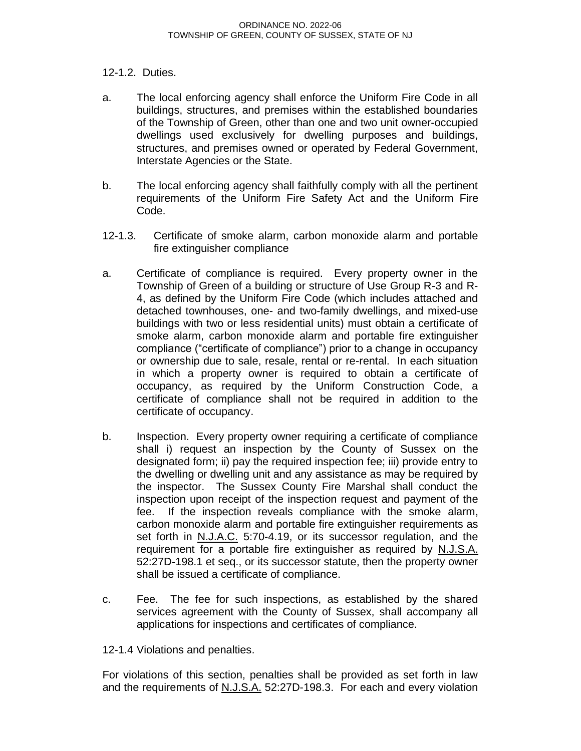# 12-1.2. Duties.

- a. The local enforcing agency shall enforce the Uniform Fire Code in all buildings, structures, and premises within the established boundaries of the Township of Green, other than one and two unit owner-occupied dwellings used exclusively for dwelling purposes and buildings, structures, and premises owned or operated by Federal Government, Interstate Agencies or the State.
- b. The local enforcing agency shall faithfully comply with all the pertinent requirements of the Uniform Fire Safety Act and the Uniform Fire Code.
- 12-1.3. Certificate of smoke alarm, carbon monoxide alarm and portable fire extinguisher compliance
- a. Certificate of compliance is required. Every property owner in the Township of Green of a building or structure of Use Group R-3 and R-4, as defined by the Uniform Fire Code (which includes attached and detached townhouses, one- and two-family dwellings, and mixed-use buildings with two or less residential units) must obtain a certificate of smoke alarm, carbon monoxide alarm and portable fire extinguisher compliance ("certificate of compliance") prior to a change in occupancy or ownership due to sale, resale, rental or re-rental. In each situation in which a property owner is required to obtain a certificate of occupancy, as required by the Uniform Construction Code, a certificate of compliance shall not be required in addition to the certificate of occupancy.
- b. Inspection. Every property owner requiring a certificate of compliance shall i) request an inspection by the County of Sussex on the designated form; ii) pay the required inspection fee; iii) provide entry to the dwelling or dwelling unit and any assistance as may be required by the inspector. The Sussex County Fire Marshal shall conduct the inspection upon receipt of the inspection request and payment of the fee. If the inspection reveals compliance with the smoke alarm, carbon monoxide alarm and portable fire extinguisher requirements as set forth in N.J.A.C. 5:70-4.19, or its successor regulation, and the requirement for a portable fire extinguisher as required by N.J.S.A. 52:27D-198.1 et seq., or its successor statute, then the property owner shall be issued a certificate of compliance.
- c. Fee. The fee for such inspections, as established by the shared services agreement with the County of Sussex, shall accompany all applications for inspections and certificates of compliance.

12-1.4 Violations and penalties.

For violations of this section, penalties shall be provided as set forth in law and the requirements of N.J.S.A. 52:27D-198.3. For each and every violation